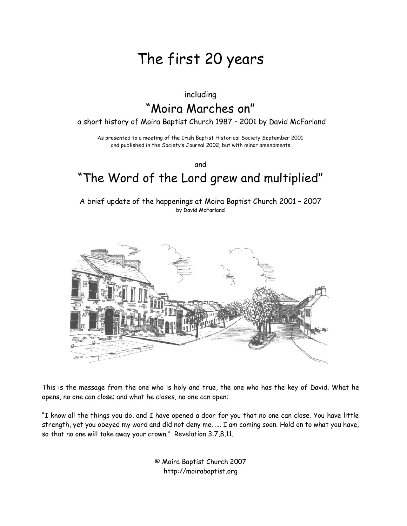# The first 20 years

#### including

# "Moira Marches on"

a short history of Moira Baptist Church 1987 – 2001 by David McFarland

As presented to a meeting of the Irish Baptist Historical Society September 2001 and published in the Society's Journal 2002, but with minor amendments.

and

# "The Word of the Lord grew and multiplied"

A brief update of the happenings at Moira Baptist Church 2001 – 2007 by David McFarland



This is the message from the one who is holy and true, the one who has the key of David. What he opens, no one can close; and what he closes, no one can open:

"I know all the things you do, and I have opened a door for you that no one can close. You have little strength, yet you obeyed my word and did not deny me. …. I am coming soon. Hold on to what you have, so that no one will take away your crown." Revelation 3:7,8,11.

> © Moira Baptist Church 2007 http://moirabaptist.org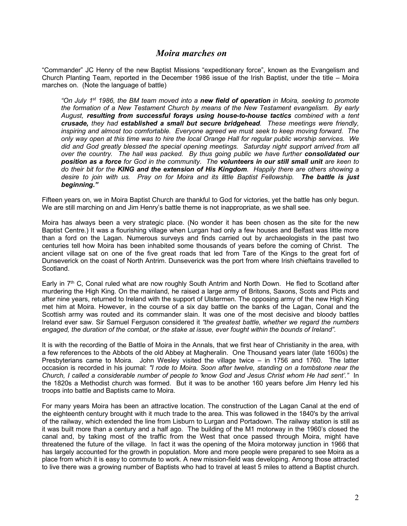#### *Moira marches on*

"Commander" JC Henry of the new Baptist Missions "expeditionary force", known as the Evangelism and Church Planting Team, reported in the December 1986 issue of the Irish Baptist, under the title – Moira marches on. (Note the language of battle)

*"On July 1st 1986, the BM team moved into a new field of operation in Moira, seeking to promote the formation of a New Testament Church by means of the New Testament evangelism. By early August, resulting from successful forays using house-to-house tactics combined with a tent crusade, they had established a small but secure bridgehead. These meetings were friendly, inspiring and almost too comfortable. Everyone agreed we must seek to keep moving forward. The only way open at this time was to hire the local Orange Hall for regular public worship services. We*  did and God greatly blessed the special opening meetings. Saturday night support arrived from all *over the country.* The hall was packed. By thus going public we have further **consolidated our** *position as a force for God in the community. The volunteers in our still small unit are keen to do their bit for the KING and the extension of His Kingdom. Happily there are others showing a desire to join with us. Pray on for Moira and its little Baptist Fellowship. The battle is just beginning."*

Fifteen years on, we in Moira Baptist Church are thankful to God for victories, yet the battle has only begun. We are still marching on and Jim Henry's battle theme is not inappropriate, as we shall see.

Moira has always been a very strategic place. (No wonder it has been chosen as the site for the new Baptist Centre.) It was a flourishing village when Lurgan had only a few houses and Belfast was little more than a ford on the Lagan. Numerous surveys and finds carried out by archaeologists in the past two centuries tell how Moira has been inhabited some thousands of years before the coming of Christ. The ancient village sat on one of the five great roads that led from Tare of the Kings to the great fort of Dunseverick on the coast of North Antrim. Dunseverick was the port from where Irish chieftains travelled to Scotland.

Early in 7<sup>th</sup> C, Conal ruled what are now roughly South Antrim and North Down. He fled to Scotland after murdering the High King. On the mainland, he raised a large army of Britons, Saxons, Scots and Picts and after nine years, returned to Ireland with the support of Ulstermen. The opposing army of the new High King met him at Moira. However, in the course of a six day battle on the banks of the Lagan, Conal and the Scottish army was routed and its commander slain. It was one of the most decisive and bloody battles Ireland ever saw. Sir Samuel Ferguson considered it *"the greatest battle, whether we regard the numbers engaged, the duration of the combat, or the stake at issue, ever fought within the bounds of Ireland".*

It is with the recording of the Battle of Moira in the Annals, that we first hear of Christianity in the area, with a few references to the Abbots of the old Abbey at Magheralin. One Thousand years later (late 1600s) the Presbyterians came to Moira. John Wesley visited the village twice – in 1756 and 1760. The latter occasion is recorded in his journal: *"I rode to Moira. Soon after twelve, standing on a tombstone near the Church, I called a considerable number of people to 'know God and Jesus Christ whom He had sent'."* In the 1820s a Methodist church was formed. But it was to be another 160 years before Jim Henry led his troops into battle and Baptists came to Moira.

For many years Moira has been an attractive location. The construction of the Lagan Canal at the end of the eighteenth century brought with it much trade to the area. This was followed in the 1840's by the arrival of the railway, which extended the line from Lisburn to Lurgan and Portadown. The railway station is still as it was built more than a century and a half ago. The building of the M1 motorway in the 1960's closed the canal and, by taking most of the traffic from the West that once passed through Moira, might have threatened the future of the village. In fact it was the opening of the Moira motorway junction in 1966 that has largely accounted for the growth in population. More and more people were prepared to see Moira as a place from which it is easy to commute to work. A new mission-field was developing. Among those attracted to live there was a growing number of Baptists who had to travel at least 5 miles to attend a Baptist church.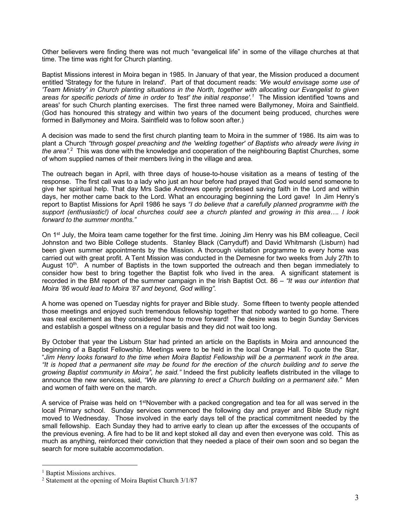Other believers were finding there was not much "evangelical life" in some of the village churches at that time. The time was right for Church planting.

Baptist Missions interest in Moira began in 1985. In January of that year, the Mission produced a document entitled 'Strategy for the future in Ireland'. Part of that document reads: *'We would envisage some use of 'Team Ministry' in Church planting situations in the North, together with allocating our Evangelist to given areas for specific periods of time in order to 'test' the initial response'.1* The Mission identified 'towns and areas' for such Church planting exercises. The first three named were Ballymoney, Moira and Saintfield. (God has honoured this strategy and within two years of the document being produced, churches were formed in Ballymoney and Moira. Saintfield was to follow soon after.)

A decision was made to send the first church planting team to Moira in the summer of 1986. Its aim was to plant a Church *"through gospel preaching and the 'welding together' of Baptists who already were living in the area"*. 2 This was done with the knowledge and cooperation of the neighbouring Baptist Churches, some of whom supplied names of their members living in the village and area.

The outreach began in April, with three days of house-to-house visitation as a means of testing of the response. The first call was to a lady who just an hour before had prayed that God would send someone to give her spiritual help. That day Mrs Sadie Andrews openly professed saving faith in the Lord and within days, her mother came back to the Lord. What an encouraging beginning the Lord gave! In Jim Henry's report to Baptist Missions for April 1986 he says *"I do believe that a carefully planned programme with the support (enthusiastic!) of local churches could see a church planted and growing in this area…. I look forward to the summer months."*

On 1<sup>st</sup> July, the Moira team came together for the first time. Joining Jim Henry was his BM colleague, Cecil Johnston and two Bible College students. Stanley Black (Carryduff) and David Whitmarsh (Lisburn) had been given summer appointments by the Mission. A thorough visitation programme to every home was carried out with great profit. A Tent Mission was conducted in the Demesne for two weeks from July 27th to August  $10<sup>th</sup>$ . A number of Baptists in the town supported the outreach and then began immediately to consider how best to bring together the Baptist folk who lived in the area. A significant statement is recorded in the BM report of the summer campaign in the Irish Baptist Oct. 86 – *"It was our intention that Moira '86 would lead to Moira '87 and beyond, God willing".*

A home was opened on Tuesday nights for prayer and Bible study. Some fifteen to twenty people attended those meetings and enjoyed such tremendous fellowship together that nobody wanted to go home. There was real excitement as they considered how to move forward! The desire was to begin Sunday Services and establish a gospel witness on a regular basis and they did not wait too long.

By October that year the Lisburn Star had printed an article on the Baptists in Moira and announced the beginning of a Baptist Fellowship. Meetings were to be held in the local Orange Hall. To quote the Star, "*Jim Henry looks forward to the time when Moira Baptist Fellowship will be a permanent work in the area. "It is hoped that a permanent site may be found for the erection of the church building and to serve the growing Baptist community in Moira", he said."* Indeed the first publicity leaflets distributed in the village to announce the new services, said, *"We are planning to erect a Church building on a permanent site."* Men and women of faith were on the march.

A service of Praise was held on 1<sup>st</sup>November with a packed congregation and tea for all was served in the local Primary school. Sunday services commenced the following day and prayer and Bible Study night moved to Wednesday. Those involved in the early days tell of the practical commitment needed by the small fellowship. Each Sunday they had to arrive early to clean up after the excesses of the occupants of the previous evening. A fire had to be lit and kept stoked all day and even then everyone was cold. This as much as anything, reinforced their conviction that they needed a place of their own soon and so began the search for more suitable accommodation.

<sup>&</sup>lt;sup>1</sup> Baptist Missions archives.

<sup>2</sup> Statement at the opening of Moira Baptist Church 3/1/87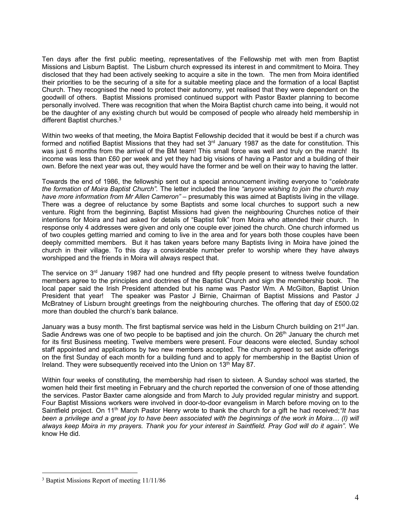Ten days after the first public meeting, representatives of the Fellowship met with men from Baptist Missions and Lisburn Baptist. The Lisburn church expressed its interest in and commitment to Moira. They disclosed that they had been actively seeking to acquire a site in the town. The men from Moira identified their priorities to be the securing of a site for a suitable meeting place and the formation of a local Baptist Church. They recognised the need to protect their autonomy, yet realised that they were dependent on the goodwill of others. Baptist Missions promised continued support with Pastor Baxter planning to become personally involved. There was recognition that when the Moira Baptist church came into being, it would not be the daughter of any existing church but would be composed of people who already held membership in different Baptist churches.<sup>3</sup>

Within two weeks of that meeting, the Moira Baptist Fellowship decided that it would be best if a church was formed and notified Baptist Missions that they had set  $3<sup>rd</sup>$  January 1987 as the date for constitution. This was just 6 months from the arrival of the BM team! This small force was well and truly on the march! Its income was less than £60 per week and yet they had big visions of having a Pastor and a building of their own. Before the next year was out, they would have the former and be well on their way to having the latter.

Towards the end of 1986, the fellowship sent out a special announcement inviting everyone to "*celebrate the formation of Moira Baptist Church".* The letter included the line *"anyone wishing to join the church may have more information from Mr Allen Cameron"* – presumably this was aimed at Baptists living in the village. There was a degree of reluctance by some Baptists and some local churches to support such a new venture. Right from the beginning, Baptist Missions had given the neighbouring Churches notice of their intentions for Moira and had asked for details of "Baptist folk" from Moira who attended their church. In response only 4 addresses were given and only one couple ever joined the church. One church informed us of two couples getting married and coming to live in the area and for years both those couples have been deeply committed members. But it has taken years before many Baptists living in Moira have joined the church in their village. To this day a considerable number prefer to worship where they have always worshipped and the friends in Moira will always respect that.

The service on  $3<sup>rd</sup>$  January 1987 had one hundred and fifty people present to witness twelve foundation members agree to the principles and doctrines of the Baptist Church and sign the membership book. The local paper said the Irish President attended but his name was Pastor Wm. A McGilton, Baptist Union President that year! The speaker was Pastor J Birnie, Chairman of Baptist Missions and Pastor J McBratney of Lisburn brought greetings from the neighbouring churches. The offering that day of £500.02 more than doubled the church's bank balance.

January was a busy month. The first baptismal service was held in the Lisburn Church building on 21<sup>st</sup> Jan. Sadie Andrews was one of two people to be baptised and join the church. On 26<sup>th</sup> January the church met for its first Business meeting. Twelve members were present. Four deacons were elected, Sunday school staff appointed and applications by two new members accepted. The church agreed to set aside offerings on the first Sunday of each month for a building fund and to apply for membership in the Baptist Union of Ireland. They were subsequently received into the Union on 13<sup>th</sup> May 87.

Within four weeks of constituting, the membership had risen to sixteen. A Sunday school was started, the women held their first meeting in February and the church reported the conversion of one of those attending the services. Pastor Baxter came alongside and from March to July provided regular ministry and support. Four Baptist Missions workers were involved in door-to-door evangelism in March before moving on to the Saintfield project. On 11th March Pastor Henry wrote to thank the church for a gift he had received;*"It has* been a privilege and a great joy to have been associated with the beginnings of the work in Moira... (I) will *always keep Moira in my prayers. Thank you for your interest in Saintfield. Pray God will do it again".* We know He did.

 <sup>3</sup> Baptist Missions Report of meeting 11/11/86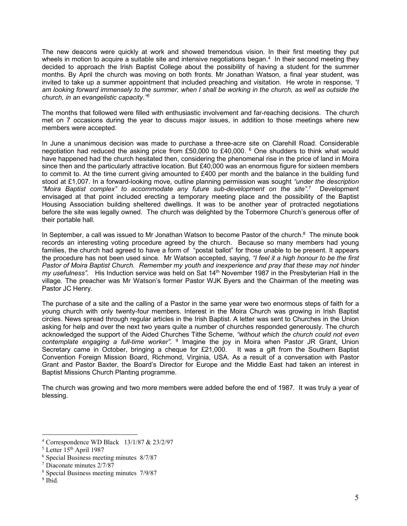The new deacons were quickly at work and showed tremendous vision. In their first meeting they put wheels in motion to acquire a suitable site and intensive negotiations began.<sup>4</sup> In their second meeting they decided to approach the Irish Baptist College about the possibility of having a student for the summer months. By April the church was moving on both fronts. Mr Jonathan Watson, a final year student, was invited to take up a summer appointment that included preaching and visitation. He wrote in response, *"I am looking forward immensely to the summer, when I shall be working in the church, as well as outside the church, in an evangelistic capacity."5*

The months that followed were filled with enthusiastic involvement and far-reaching decisions. The church met on 7 occasions during the year to discuss major issues, in addition to those meetings where new members were accepted.

In June a unanimous decision was made to purchase a three-acre site on Clarehill Road. Considerable negotiation had reduced the asking price from £50,000 to £40,000.  $6$  One shudders to think what would have happened had the church hesitated then, considering the phenomenal rise in the price of land in Moira since then and the particularly attractive location. But £40,000 was an enormous figure for sixteen members to commit to. At the time current giving amounted to £400 per month and the balance in the building fund stood at £1,007. In a forward-looking move, outline planning permission was sought *"under the description "Moira Baptist complex" to accommodate any future sub-development on the site".*<sup>7</sup> Development envisaged at that point included erecting a temporary meeting place and the possibility of the Baptist Housing Association building sheltered dwellings. It was to be another year of protracted negotiations before the site was legally owned. The church was delighted by the Tobermore Church's generous offer of their portable hall.

In September, a call was issued to Mr Jonathan Watson to become Pastor of the church. $8$  The minute book records an interesting voting procedure agreed by the church. Because so many members had young families, the church had agreed to have a form of "postal ballot" for those unable to be present. It appears the procedure has not been used since. Mr Watson accepted, saying, *"I feel it a high honour to be the first Pastor of Moira Baptist Church. Remember my youth and inexperience and pray that these may not hinder my usefulness".* His Induction service was held on Sat 14<sup>th</sup> November 1987 in the Presbyterian Hall in the village. The preacher was Mr Watson's former Pastor WJK Byers and the Chairman of the meeting was Pastor JC Henry.

The purchase of a site and the calling of a Pastor in the same year were two enormous steps of faith for a young church with only twenty-four members. Interest in the Moira Church was growing in Irish Baptist circles. News spread through regular articles in the Irish Baptist. A letter was sent to Churches in the Union asking for help and over the next two years quite a number of churches responded generously. The church acknowledged the support of the Aided Churches Tithe Scheme, *"without which the church could not even contemplate engaging a full-time worker".* <sup>9</sup> Imagine the joy in Moira when Pastor JR Grant, Union Secretary came in October, bringing a cheque for £21,000. It was a gift from the Southern Baptist Convention Foreign Mission Board, Richmond, Virginia, USA. As a result of a conversation with Pastor Grant and Pastor Baxter, the Board's Director for Europe and the Middle East had taken an interest in Baptist Missions Church Planting programme.

The church was growing and two more members were added before the end of 1987. It was truly a year of blessing.

 <sup>4</sup> Correspondence WD Black 13/1/87 & 23/2/97

 $<sup>5</sup>$  Letter  $15<sup>th</sup>$  April 1987</sup>

<sup>6</sup> Special Business meeting minutes 8/7/87

<sup>7</sup> Diaconate minutes 2/7/87

<sup>8</sup> Special Business meeting minutes 7/9/87

 $9$  Ibid.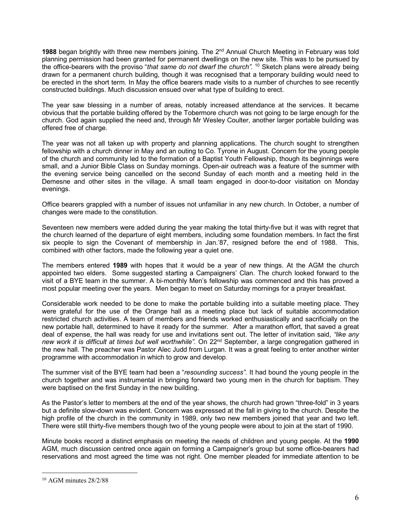1988 began brightly with three new members joining. The 2<sup>nd</sup> Annual Church Meeting in February was told planning permission had been granted for permanent dwellings on the new site. This was to be pursued by the office-bearers with the proviso "*that same do not dwarf the church".* <sup>10</sup> Sketch plans were already being drawn for a permanent church building, though it was recognised that a temporary building would need to be erected in the short term. In May the office bearers made visits to a number of churches to see recently constructed buildings. Much discussion ensued over what type of building to erect.

The year saw blessing in a number of areas, notably increased attendance at the services. It became obvious that the portable building offered by the Tobermore church was not going to be large enough for the church. God again supplied the need and, through Mr Wesley Coulter, another larger portable building was offered free of charge.

The year was not all taken up with property and planning applications. The church sought to strengthen fellowship with a church dinner in May and an outing to Co. Tyrone in August. Concern for the young people of the church and community led to the formation of a Baptist Youth Fellowship, though its beginnings were small, and a Junior Bible Class on Sunday mornings. Open-air outreach was a feature of the summer with the evening service being cancelled on the second Sunday of each month and a meeting held in the Demesne and other sites in the village. A small team engaged in door-to-door visitation on Monday evenings.

Office bearers grappled with a number of issues not unfamiliar in any new church. In October, a number of changes were made to the constitution.

Seventeen new members were added during the year making the total thirty-five but it was with regret that the church learned of the departure of eight members, including some foundation members. In fact the first six people to sign the Covenant of membership in Jan.'87, resigned before the end of 1988. This, combined with other factors, made the following year a quiet one.

The members entered **1989** with hopes that it would be a year of new things. At the AGM the church appointed two elders. Some suggested starting a Campaigners' Clan. The church looked forward to the visit of a BYE team in the summer. A bi-monthly Men's fellowship was commenced and this has proved a most popular meeting over the years. Men began to meet on Saturday mornings for a prayer breakfast.

Considerable work needed to be done to make the portable building into a suitable meeting place. They were grateful for the use of the Orange hall as a meeting place but lack of suitable accommodation restricted church activities. A team of members and friends worked enthusiastically and sacrificially on the new portable hall, determined to have it ready for the summer. After a marathon effort, that saved a great deal of expense, the hall was ready for use and invitations sent out. The letter of invitation said, *"like any new work it is difficult at times but well worthwhile".* On 22nd September, a large congregation gathered in the new hall. The preacher was Pastor Alec Judd from Lurgan. It was a great feeling to enter another winter programme with accommodation in which to grow and develop.

The summer visit of the BYE team had been a "*resounding success".* It had bound the young people in the church together and was instrumental in bringing forward two young men in the church for baptism. They were baptised on the first Sunday in the new building.

As the Pastor's letter to members at the end of the year shows, the church had grown "three-fold" in 3 years but a definite slow-down was evident. Concern was expressed at the fall in giving to the church. Despite the high profile of the church in the community in 1989, only two new members joined that year and two left. There were still thirty-five members though two of the young people were about to join at the start of 1990.

Minute books record a distinct emphasis on meeting the needs of children and young people. At the **1990** AGM, much discussion centred once again on forming a Campaigner's group but some office-bearers had reservations and most agreed the time was not right. One member pleaded for immediate attention to be

 <sup>10</sup> AGM minutes 28/2/88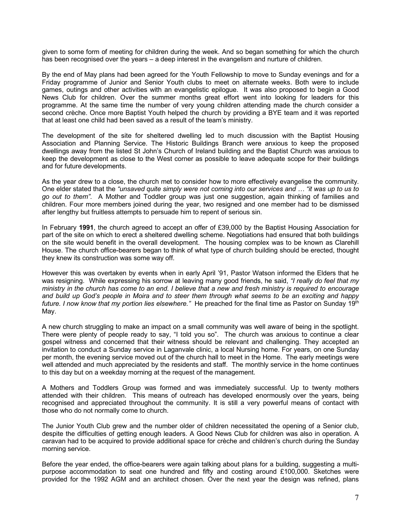given to some form of meeting for children during the week. And so began something for which the church has been recognised over the years – a deep interest in the evangelism and nurture of children.

By the end of May plans had been agreed for the Youth Fellowship to move to Sunday evenings and for a Friday programme of Junior and Senior Youth clubs to meet on alternate weeks. Both were to include games, outings and other activities with an evangelistic epilogue. It was also proposed to begin a Good News Club for children. Over the summer months great effort went into looking for leaders for this programme. At the same time the number of very young children attending made the church consider a second crèche. Once more Baptist Youth helped the church by providing a BYE team and it was reported that at least one child had been saved as a result of the team's ministry.

The development of the site for sheltered dwelling led to much discussion with the Baptist Housing Association and Planning Service. The Historic Buildings Branch were anxious to keep the proposed dwellings away from the listed St John's Church of Ireland building and the Baptist Church was anxious to keep the development as close to the West corner as possible to leave adequate scope for their buildings and for future developments.

As the year drew to a close, the church met to consider how to more effectively evangelise the community. One elder stated that the *"unsaved quite simply were not coming into our services and … "it was up to us to go out to them".* A Mother and Toddler group was just one suggestion, again thinking of families and children. Four more members joined during the year, two resigned and one member had to be dismissed after lengthy but fruitless attempts to persuade him to repent of serious sin.

In February **1991**, the church agreed to accept an offer of £39,000 by the Baptist Housing Association for part of the site on which to erect a sheltered dwelling scheme. Negotiations had ensured that both buildings on the site would benefit in the overall development. The housing complex was to be known as Clarehill House. The church office-bearers began to think of what type of church building should be erected, thought they knew its construction was some way off.

However this was overtaken by events when in early April '91, Pastor Watson informed the Elders that he was resigning. While expressing his sorrow at leaving many good friends, he said, *"I really do feel that my ministry in the church has come to an end. I believe that a new and fresh ministry is required to encourage and build up God's people in Moira and to steer them through what seems to be an exciting and happy*  future. I now know that my portion lies elsewhere." He preached for the final time as Pastor on Sunday 19<sup>th</sup> May.

A new church struggling to make an impact on a small community was well aware of being in the spotlight. There were plenty of people ready to say, "I told you so". The church was anxious to continue a clear gospel witness and concerned that their witness should be relevant and challenging. They accepted an invitation to conduct a Sunday service in Laganvale clinic, a local Nursing home. For years, on one Sunday per month, the evening service moved out of the church hall to meet in the Home. The early meetings were well attended and much appreciated by the residents and staff. The monthly service in the home continues to this day but on a weekday morning at the request of the management.

A Mothers and Toddlers Group was formed and was immediately successful. Up to twenty mothers attended with their children. This means of outreach has developed enormously over the years, being recognised and appreciated throughout the community. It is still a very powerful means of contact with those who do not normally come to church.

The Junior Youth Club grew and the number older of children necessitated the opening of a Senior club, despite the difficulties of getting enough leaders. A Good News Club for children was also in operation. A caravan had to be acquired to provide additional space for crèche and children's church during the Sunday morning service.

Before the year ended, the office-bearers were again talking about plans for a building, suggesting a multipurpose accommodation to seat one hundred and fifty and costing around £100,000. Sketches were provided for the 1992 AGM and an architect chosen. Over the next year the design was refined, plans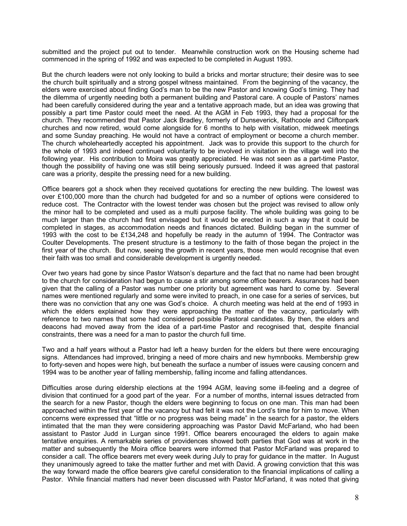submitted and the project put out to tender. Meanwhile construction work on the Housing scheme had commenced in the spring of 1992 and was expected to be completed in August 1993.

But the church leaders were not only looking to build a bricks and mortar structure; their desire was to see the church built spiritually and a strong gospel witness maintained. From the beginning of the vacancy, the elders were exercised about finding God's man to be the new Pastor and knowing God's timing. They had the dilemma of urgently needing both a permanent building and Pastoral care. A couple of Pastors' names had been carefully considered during the year and a tentative approach made, but an idea was growing that possibly a part time Pastor could meet the need. At the AGM in Feb 1993, they had a proposal for the church. They recommended that Pastor Jack Bradley, formerly of Dunseverick, Rathcoole and Cliftonpark churches and now retired, would come alongside for 6 months to help with visitation, midweek meetings and some Sunday preaching. He would not have a contract of employment or become a church member. The church wholeheartedly accepted his appointment. Jack was to provide this support to the church for the whole of 1993 and indeed continued voluntarily to be involved in visitation in the village well into the following year. His contribution to Moira was greatly appreciated. He was not seen as a part-time Pastor, though the possibility of having one was still being seriously pursued. Indeed it was agreed that pastoral care was a priority, despite the pressing need for a new building.

Office bearers got a shock when they received quotations for erecting the new building. The lowest was over £100,000 more than the church had budgeted for and so a number of options were considered to reduce cost. The Contractor with the lowest tender was chosen but the project was revised to allow only the minor hall to be completed and used as a multi purpose facility. The whole building was going to be much larger than the church had first envisaged but it would be erected in such a way that it could be completed in stages, as accommodation needs and finances dictated. Building began in the summer of 1993 with the cost to be £134,248 and hopefully be ready in the autumn of 1994. The Contractor was Coulter Developments. The present structure is a testimony to the faith of those began the project in the first year of the church. But now, seeing the growth in recent years, those men would recognise that even their faith was too small and considerable development is urgently needed.

Over two years had gone by since Pastor Watson's departure and the fact that no name had been brought to the church for consideration had begun to cause a stir among some office bearers. Assurances had been given that the calling of a Pastor was number one priority but agreement was hard to come by. Several names were mentioned regularly and some were invited to preach, in one case for a series of services, but there was no conviction that any one was God's choice. A church meeting was held at the end of 1993 in which the elders explained how they were approaching the matter of the vacancy, particularly with reference to two names that some had considered possible Pastoral candidates. By then, the elders and deacons had moved away from the idea of a part-time Pastor and recognised that, despite financial constraints, there was a need for a man to pastor the church full time.

Two and a half years without a Pastor had left a heavy burden for the elders but there were encouraging signs. Attendances had improved, bringing a need of more chairs and new hymnbooks. Membership grew to forty-seven and hopes were high, but beneath the surface a number of issues were causing concern and 1994 was to be another year of falling membership, falling income and falling attendances.

Difficulties arose during eldership elections at the 1994 AGM, leaving some ill-feeling and a degree of division that continued for a good part of the year. For a number of months, internal issues detracted from the search for a new Pastor, though the elders were beginning to focus on one man. This man had been approached within the first year of the vacancy but had felt it was not the Lord's time for him to move. When concerns were expressed that "little or no progress was being made" in the search for a pastor, the elders intimated that the man they were considering approaching was Pastor David McFarland, who had been assistant to Pastor Judd in Lurgan since 1991. Office bearers encouraged the elders to again make tentative enquiries. A remarkable series of providences showed both parties that God was at work in the matter and subsequently the Moira office bearers were informed that Pastor McFarland was prepared to consider a call. The office bearers met every week during July to pray for guidance in the matter. In August they unanimously agreed to take the matter further and met with David. A growing conviction that this was the way forward made the office bearers give careful consideration to the financial implications of calling a Pastor. While financial matters had never been discussed with Pastor McFarland, it was noted that giving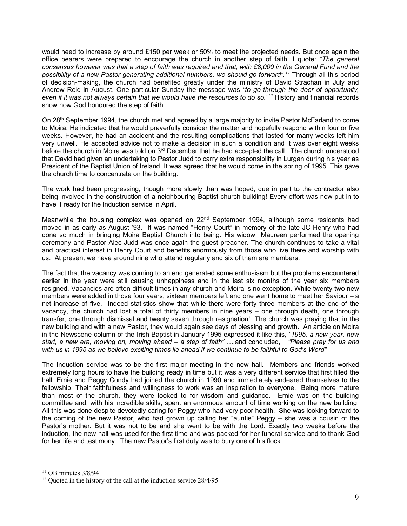would need to increase by around £150 per week or 50% to meet the projected needs. But once again the office bearers were prepared to encourage the church in another step of faith. I quote: *"The general consensus however was that a step of faith was required and that, with £8,000 in the General Fund and the possibility of a new Pastor generating additional numbers, we should go forward".11* Through all this period of decision-making, the church had benefited greatly under the ministry of David Strachan in July and Andrew Reid in August. One particular Sunday the message was *"to go through the door of opportunity, even if it was not always certain that we would have the resources to do so."12* History and financial records show how God honoured the step of faith.

On 28<sup>th</sup> September 1994, the church met and agreed by a large majority to invite Pastor McFarland to come to Moira. He indicated that he would prayerfully consider the matter and hopefully respond within four or five weeks. However, he had an accident and the resulting complications that lasted for many weeks left him very unwell. He accepted advice not to make a decision in such a condition and it was over eight weeks before the church in Moira was told on 3<sup>rd</sup> December that he had accepted the call. The church understood that David had given an undertaking to Pastor Judd to carry extra responsibility in Lurgan during his year as President of the Baptist Union of Ireland. It was agreed that he would come in the spring of 1995. This gave the church time to concentrate on the building.

The work had been progressing, though more slowly than was hoped, due in part to the contractor also being involved in the construction of a neighbouring Baptist church building! Every effort was now put in to have it ready for the Induction service in April.

Meanwhile the housing complex was opened on  $22<sup>nd</sup>$  September 1994, although some residents had moved in as early as August '93. It was named "Henry Court" in memory of the late JC Henry who had done so much in bringing Moira Baptist Church into being. His widow Maureen performed the opening ceremony and Pastor Alec Judd was once again the guest preacher. The church continues to take a vital and practical interest in Henry Court and benefits enormously from those who live there and worship with us. At present we have around nine who attend regularly and six of them are members.

The fact that the vacancy was coming to an end generated some enthusiasm but the problems encountered earlier in the year were still causing unhappiness and in the last six months of the year six members resigned. Vacancies are often difficult times in any church and Moira is no exception. While twenty-two new members were added in those four years, sixteen members left and one went home to meet her Saviour – a net increase of five. Indeed statistics show that while there were forty three members at the end of the vacancy, the church had lost a total of thirty members in nine years – one through death, one through transfer, one through dismissal and twenty seven through resignation! The church was praying that in the new building and with a new Pastor, they would again see days of blessing and growth. An article on Moira in the Newscene column of the Irish Baptist in January 1995 expressed it like this, *"1995, a new year, new start, a new era, moving on, moving ahead – a step of faith" ….*and concluded, *"Please pray for us and with us in 1995 as we believe exciting times lie ahead if we continue to be faithful to God's Word"*

The Induction service was to be the first major meeting in the new hall. Members and friends worked extremely long hours to have the building ready in time but it was a very different service that first filled the hall. Ernie and Peggy Condy had joined the church in 1990 and immediately endeared themselves to the fellowship. Their faithfulness and willingness to work was an inspiration to everyone. Being more mature than most of the church, they were looked to for wisdom and guidance. Ernie was on the building committee and, with his incredible skills, spent an enormous amount of time working on the new building. All this was done despite devotedly caring for Peggy who had very poor health. She was looking forward to the coming of the new Pastor, who had grown up calling her "auntie" Peggy – she was a cousin of the Pastor's mother. But it was not to be and she went to be with the Lord. Exactly two weeks before the induction, the new hall was used for the first time and was packed for her funeral service and to thank God for her life and testimony. The new Pastor's first duty was to bury one of his flock.

 $11$  OB minutes  $3/8/94$ 

<sup>&</sup>lt;sup>12</sup> Ouoted in the history of the call at the induction service 28/4/95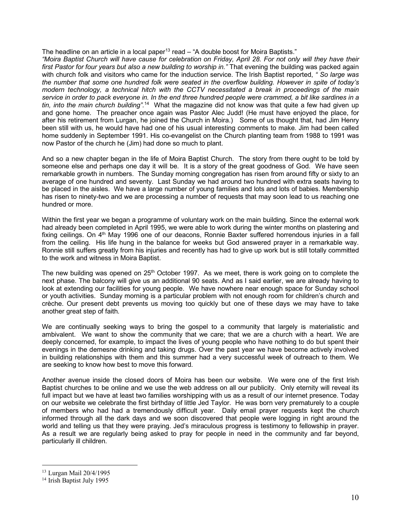The headline on an article in a local paper<sup>13</sup> read  $-$  "A double boost for Moira Baptists."

*"Moira Baptist Church will have cause for celebration on Friday, April 28. For not only will they have their first Pastor for four years but also a new building to worship in."* That evening the building was packed again with church folk and visitors who came for the induction service. The Irish Baptist reported, *" So large was the number that some one hundred folk were seated in the overflow building. However in spite of today's modern technology, a technical hitch with the CCTV necessitated a break in proceedings of the main service in order to pack everyone in. In the end three hundred people were crammed, a bit like sardines in a tin, into the main church building".*14 What the magazine did not know was that quite a few had given up and gone home. The preacher once again was Pastor Alec Judd! (He must have enjoyed the place, for after his retirement from Lurgan, he joined the Church in Moira.) Some of us thought that, had Jim Henry been still with us, he would have had one of his usual interesting comments to make. Jim had been called home suddenly in September 1991. His co-evangelist on the Church planting team from 1988 to 1991 was now Pastor of the church he (Jim) had done so much to plant.

And so a new chapter began in the life of Moira Baptist Church. The story from there ought to be told by someone else and perhaps one day it will be. It is a story of the great goodness of God. We have seen remarkable growth in numbers. The Sunday morning congregation has risen from around fifty or sixty to an average of one hundred and seventy. Last Sunday we had around two hundred with extra seats having to be placed in the aisles. We have a large number of young families and lots and lots of babies. Membership has risen to ninety-two and we are processing a number of requests that may soon lead to us reaching one hundred or more.

Within the first year we began a programme of voluntary work on the main building. Since the external work had already been completed in April 1995, we were able to work during the winter months on plastering and fixing ceilings. On 4<sup>th</sup> May 1996 one of our deacons, Ronnie Baxter suffered horrendous injuries in a fall from the ceiling. His life hung in the balance for weeks but God answered prayer in a remarkable way. Ronnie still suffers greatly from his injuries and recently has had to give up work but is still totally committed to the work and witness in Moira Baptist.

The new building was opened on  $25<sup>th</sup>$  October 1997. As we meet, there is work going on to complete the next phase. The balcony will give us an additional 90 seats. And as I said earlier, we are already having to look at extending our facilities for young people. We have nowhere near enough space for Sunday school or youth activities. Sunday morning is a particular problem with not enough room for children's church and crèche. Our present debt prevents us moving too quickly but one of these days we may have to take another great step of faith.

We are continually seeking ways to bring the gospel to a community that largely is materialistic and ambivalent. We want to show the community that we care; that we are a church with a heart. We are deeply concerned, for example, to impact the lives of young people who have nothing to do but spent their evenings in the demesne drinking and taking drugs. Over the past year we have become actively involved in building relationships with them and this summer had a very successful week of outreach to them. We are seeking to know how best to move this forward.

Another avenue inside the closed doors of Moira has been our website. We were one of the first Irish Baptist churches to be online and we use the web address on all our publicity. Only eternity will reveal its full impact but we have at least two families worshipping with us as a result of our internet presence. Today on our website we celebrate the first birthday of little Jed Taylor. He was born very prematurely to a couple of members who had had a tremendously difficult year. Daily email prayer requests kept the church informed through all the dark days and we soon discovered that people were logging in right around the world and telling us that they were praying. Jed's miraculous progress is testimony to fellowship in prayer. As a result we are regularly being asked to pray for people in need in the community and far beyond, particularly ill children.

 <sup>13</sup> Lurgan Mail 20/4/1995

<sup>&</sup>lt;sup>14</sup> Irish Baptist July 1995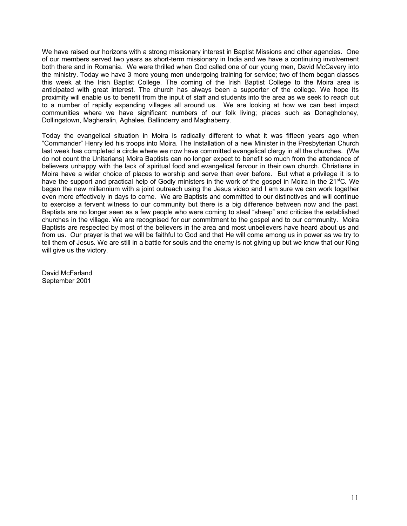We have raised our horizons with a strong missionary interest in Baptist Missions and other agencies. One of our members served two years as short-term missionary in India and we have a continuing involvement both there and in Romania. We were thrilled when God called one of our young men, David McCavery into the ministry. Today we have 3 more young men undergoing training for service; two of them began classes this week at the Irish Baptist College. The coming of the Irish Baptist College to the Moira area is anticipated with great interest. The church has always been a supporter of the college. We hope its proximity will enable us to benefit from the input of staff and students into the area as we seek to reach out to a number of rapidly expanding villages all around us. We are looking at how we can best impact communities where we have significant numbers of our folk living; places such as Donaghcloney, Dollingstown, Magheralin, Aghalee, Ballinderry and Maghaberry.

Today the evangelical situation in Moira is radically different to what it was fifteen years ago when "Commander" Henry led his troops into Moira. The Installation of a new Minister in the Presbyterian Church last week has completed a circle where we now have committed evangelical clergy in all the churches. (We do not count the Unitarians) Moira Baptists can no longer expect to benefit so much from the attendance of believers unhappy with the lack of spiritual food and evangelical fervour in their own church. Christians in Moira have a wider choice of places to worship and serve than ever before. But what a privilege it is to have the support and practical help of Godly ministers in the work of the gospel in Moira in the 21<sup>st</sup>C. We began the new millennium with a joint outreach using the Jesus video and I am sure we can work together even more effectively in days to come. We are Baptists and committed to our distinctives and will continue to exercise a fervent witness to our community but there is a big difference between now and the past. Baptists are no longer seen as a few people who were coming to steal "sheep" and criticise the established churches in the village. We are recognised for our commitment to the gospel and to our community. Moira Baptists are respected by most of the believers in the area and most unbelievers have heard about us and from us. Our prayer is that we will be faithful to God and that He will come among us in power as we try to tell them of Jesus. We are still in a battle for souls and the enemy is not giving up but we know that our King will give us the victory.

David McFarland September 2001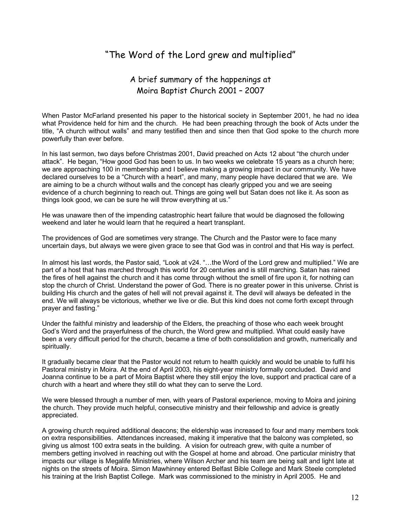## "The Word of the Lord grew and multiplied"

### A brief summary of the happenings at Moira Baptist Church 2001 – 2007

When Pastor McFarland presented his paper to the historical society in September 2001, he had no idea what Providence held for him and the church. He had been preaching through the book of Acts under the title, "A church without walls" and many testified then and since then that God spoke to the church more powerfully than ever before.

In his last sermon, two days before Christmas 2001, David preached on Acts 12 about "the church under attack". He began, "How good God has been to us. In two weeks we celebrate 15 years as a church here; we are approaching 100 in membership and I believe making a growing impact in our community. We have declared ourselves to be a "Church with a heart", and many, many people have declared that we are. We are aiming to be a church without walls and the concept has clearly gripped you and we are seeing evidence of a church beginning to reach out. Things are going well but Satan does not like it. As soon as things look good, we can be sure he will throw everything at us."

He was unaware then of the impending catastrophic heart failure that would be diagnosed the following weekend and later he would learn that he required a heart transplant.

The providences of God are sometimes very strange. The Church and the Pastor were to face many uncertain days, but always we were given grace to see that God was in control and that His way is perfect.

In almost his last words, the Pastor said, "Look at v24. "…the Word of the Lord grew and multiplied." We are part of a host that has marched through this world for 20 centuries and is still marching. Satan has rained the fires of hell against the church and it has come through without the smell of fire upon it, for nothing can stop the church of Christ. Understand the power of God. There is no greater power in this universe. Christ is building His church and the gates of hell will not prevail against it. The devil will always be defeated in the end. We will always be victorious, whether we live or die. But this kind does not come forth except through prayer and fasting."

Under the faithful ministry and leadership of the Elders, the preaching of those who each week brought God's Word and the prayerfulness of the church, the Word grew and multiplied. What could easily have been a very difficult period for the church, became a time of both consolidation and growth, numerically and spiritually.

It gradually became clear that the Pastor would not return to health quickly and would be unable to fulfil his Pastoral ministry in Moira. At the end of April 2003, his eight-year ministry formally concluded. David and Joanna continue to be a part of Moira Baptist where they still enjoy the love, support and practical care of a church with a heart and where they still do what they can to serve the Lord.

We were blessed through a number of men, with years of Pastoral experience, moving to Moira and joining the church. They provide much helpful, consecutive ministry and their fellowship and advice is greatly appreciated.

A growing church required additional deacons; the eldership was increased to four and many members took on extra responsibilities. Attendances increased, making it imperative that the balcony was completed, so giving us almost 100 extra seats in the building. A vision for outreach grew, with quite a number of members getting involved in reaching out with the Gospel at home and abroad. One particular ministry that impacts our village is Megalife Ministries, where Wilson Archer and his team are being salt and light late at nights on the streets of Moira. Simon Mawhinney entered Belfast Bible College and Mark Steele completed his training at the Irish Baptist College. Mark was commissioned to the ministry in April 2005. He and